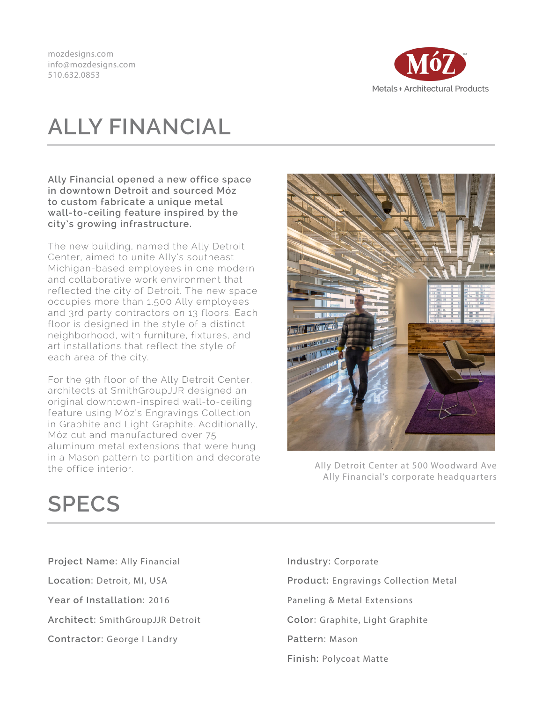mozdesigns.com info@mozdesigns.com 510.632.0853



## **ALLY FINANCIAL**

**Ally Financial opened a new office space in downtown Detroit and sourced Móz to custom fabricate a unique metal wall-to-ceiling feature inspired by the city's growing infrastructure.**

The new building, named the Ally Detroit Center, aimed to unite Ally's southeast Michigan-based employees in one modern and collaborative work environment that reflected the city of Detroit. The new space occupies more than 1,500 Ally employees and 3rd party contractors on 13 floors. Each floor is designed in the style of a distinct neighborhood, with furniture, fixtures, and art installations that reflect the style of each area of the city.

For the 9th floor of the Ally Detroit Center, architects at SmithGroupJJR designed an original downtown-inspired wall-to-ceiling feature using Móz's Engravings Collection in Graphite and Light Graphite. Additionally, Móz cut and manufactured over 75 aluminum metal extensions that were hung in a Mason pattern to partition and decorate the office interior.



Ally Detroit Center at 500 Woodward Ave Ally Financial's corporate headquarters

## **SPECS**

**Project Name:** Ally Financial **Location:** Detroit, MI, USA **Year of Installation:** 2016 **Architect:** SmithGroupJJR Detroit **Contractor:** George I Landry

**Industry:** Corporate **Product:** Engravings Collection Metal Paneling & Metal Extensions **Color:** Graphite, Light Graphite **Pattern:** Mason **Finish:** Polycoat Matte